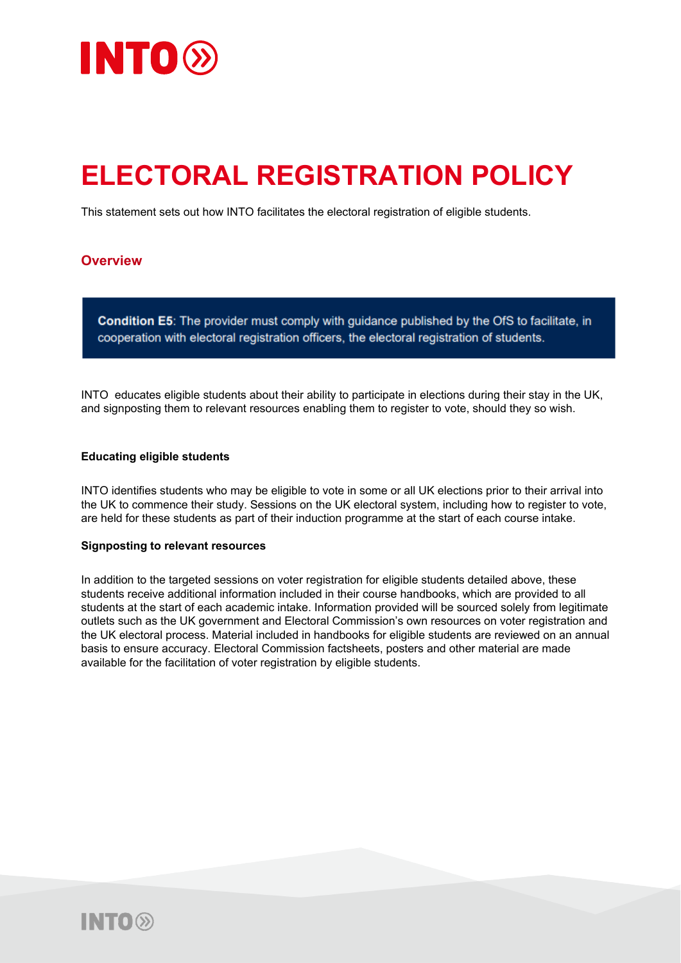

# **ELECTORAL REGISTRATION POLICY**

This statement sets out how INTO facilitates the electoral registration of eligible students.

### **Overview**

Condition E5: The provider must comply with guidance published by the OfS to facilitate, in cooperation with electoral registration officers, the electoral registration of students.

INTO educates eligible students about their ability to participate in elections during their stay in the UK, and signposting them to relevant resources enabling them to register to vote, should they so wish.

#### **Educating eligible students**

INTO identifies students who may be eligible to vote in some or all UK elections prior to their arrival into the UK to commence their study. Sessions on the UK electoral system, including how to register to vote, are held for these students as part of their induction programme at the start of each course intake.

#### **Signposting to relevant resources**

In addition to the targeted sessions on voter registration for eligible students detailed above, these students receive additional information included in their course handbooks, which are provided to all students at the start of each academic intake. Information provided will be sourced solely from legitimate outlets such as the UK government and Electoral Commission's own resources on voter registration and the UK electoral process. Material included in handbooks for eligible students are reviewed on an annual basis to ensure accuracy. Electoral Commission factsheets, posters and other material are made available for the facilitation of voter registration by eligible students.

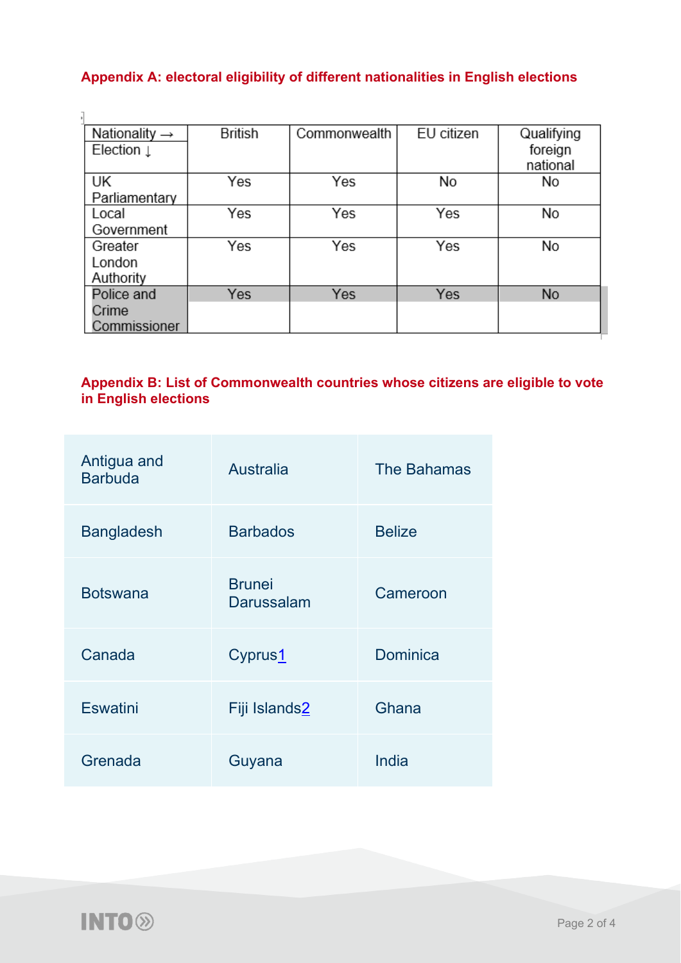# **Appendix A: electoral eligibility of different nationalities in English elections**

| Nationality $\rightarrow$ | <b>British</b> | Commonwealth | EU citizen | Qualifying |
|---------------------------|----------------|--------------|------------|------------|
| Election $\downarrow$     |                |              |            | foreign    |
|                           |                |              |            | national   |
| UK                        | Yes            | Yes          | No         | No         |
| Parliamentary             |                |              |            |            |
| Local                     | Yes            | Yes          | Yes        | No         |
| Government                |                |              |            |            |
| Greater                   | Yes            | Yes          | Yes        | No         |
| London                    |                |              |            |            |
| Authority                 |                |              |            |            |
| Police and                | Yes            | Yes          | Yes        | <b>No</b>  |
| Crime                     |                |              |            |            |
| Commissioner              |                |              |            |            |

## **Appendix B: List of Commonwealth countries whose citizens are eligible to vote in English elections**

| Antigua and<br><b>Barbuda</b> | <b>Australia</b>            | <b>The Bahamas</b> |
|-------------------------------|-----------------------------|--------------------|
| <b>Bangladesh</b>             | <b>Barbados</b>             | <b>Belize</b>      |
| <b>Botswana</b>               | <b>Brunei</b><br>Darussalam | Cameroon           |
| Canada                        | Cyprus1                     | Dominica           |
| <b>Eswatini</b>               | Fiji Islands2               | Ghana              |
| Grenada                       | Guyana                      | India              |

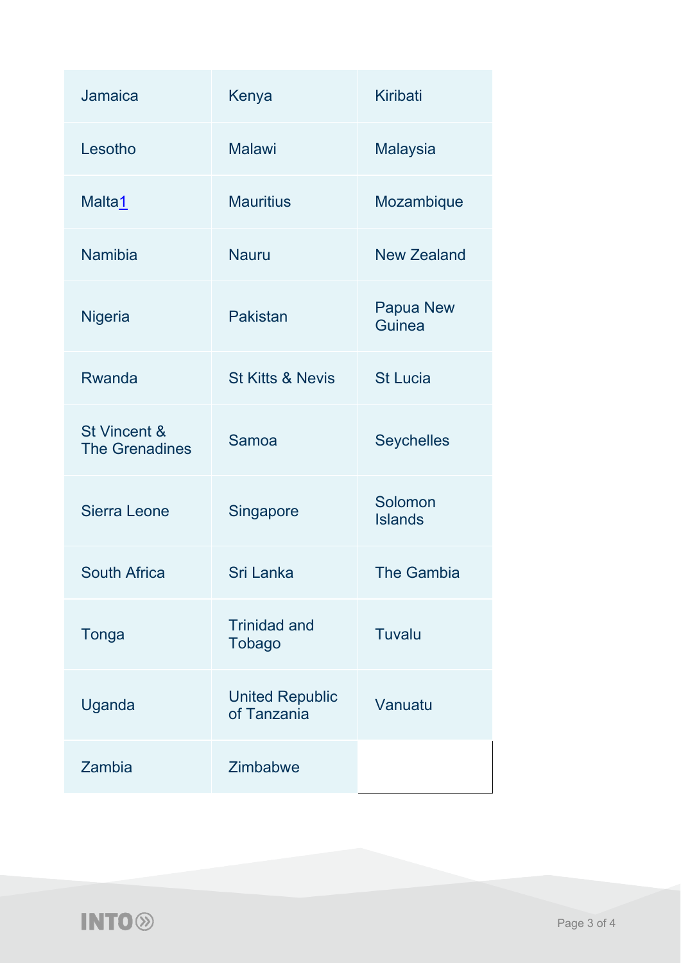| Jamaica                               | Kenya                                 | <b>Kiribati</b>            |
|---------------------------------------|---------------------------------------|----------------------------|
| Lesotho                               | <b>Malawi</b>                         | <b>Malaysia</b>            |
| Malta1                                | <b>Mauritius</b>                      | Mozambique                 |
| <b>Namibia</b>                        | <b>Nauru</b>                          | <b>New Zealand</b>         |
| <b>Nigeria</b>                        | <b>Pakistan</b>                       | <b>Papua New</b><br>Guinea |
| Rwanda                                | <b>St Kitts &amp; Nevis</b>           | <b>St Lucia</b>            |
| St Vincent &<br><b>The Grenadines</b> | Samoa                                 | <b>Seychelles</b>          |
| Sierra Leone                          | Singapore                             | Solomon<br><b>Islands</b>  |
| <b>South Africa</b>                   | Sri Lanka                             | <b>The Gambia</b>          |
| Tonga                                 | <b>Trinidad and</b><br><b>Tobago</b>  | Tuvalu                     |
| Uganda                                | <b>United Republic</b><br>of Tanzania | Vanuatu                    |
| Zambia                                | Zimbabwe                              |                            |